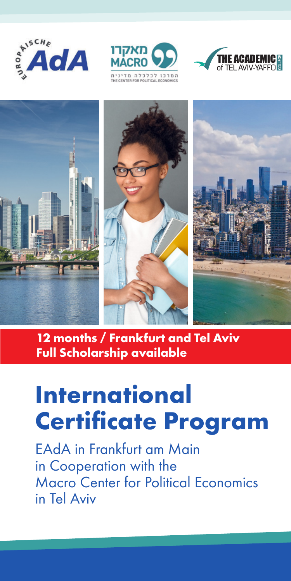



:<br>מרכז לכלכלה מדי<br>ENTER FOR POLITICAL ECONOMIC





**12 months / Frankfurt and Tel Aviv Full Scholarship available** 

# **International Certificate Program**

EAdA in Frankfurt am Main in Cooperation with the Macro Center for Political Economics in Tel Aviv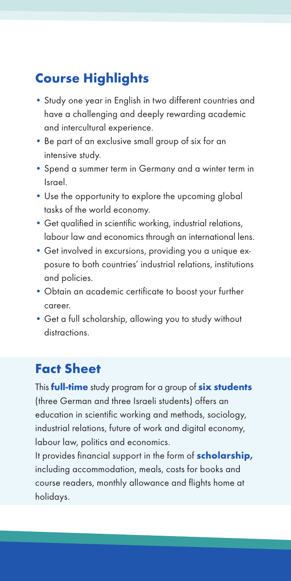## **Course Highlights**

- Study one year in English in two different countries and have a challenging and deeply rewarding academic and intercultural experience.
- Be part of an exclusive small group of six for an intensive study.
- Spend a summer term in Germany and a winter term in Israel.
- Use the opportunity to explore the upcoming global tasks of the world economy.
- Get qualified in scientific working, industrial relations, labour law and economics through an international lens.
- Get involved in excursions, providing you a unique exposure to both countries' industrial relations, institutions and policies.
- Obtain an academic certificate to boost your further career.
- Get a full scholarship, allowing you to study without distractions.

#### **Fact Sheet**

This **full-time** study program for a group of **six students** (three German and three Israeli students) offers an education in scientific working and methods, sociology, industrial relations, future of work and digital economy, labour law, politics and economics.

It provides financial support in the form of **scholarship,** including accommodation, meals, costs for books and course readers, monthly allowance and flights home at holidays.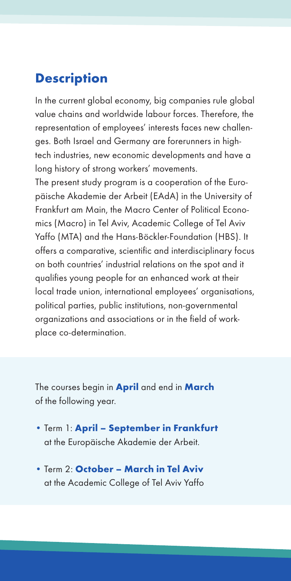#### **Description**

In the current global economy, big companies rule global value chains and worldwide labour forces. Therefore, the representation of employees' interests faces new challenges. Both Israel and Germany are forerunners in hightech industries, new economic developments and have a long history of strong workers' movements.

The present study program is a cooperation of the Europäische Akademie der Arbeit (EAdA) in the University of Frankfurt am Main, the Macro Center of Political Economics (Macro) in Tel Aviv, Academic College of Tel Aviv Yaffo (MTA) and the Hans-Böckler-Foundation (HBS). It offers a comparative, scientific and interdisciplinary focus on both countries' industrial relations on the spot and it qualifies young people for an enhanced work at their local trade union, international employees' organisations, political parties, public institutions, non-governmental organizations and associations or in the field of workplace co-determination.

The courses begin in **April** and end in **March** of the following year.

- Term 1: **April September in Frankfurt**  at the Europäische Akademie der Arbeit.
- Term 2: **October March in Tel Aviv** at the Academic College of Tel Aviv Yaffo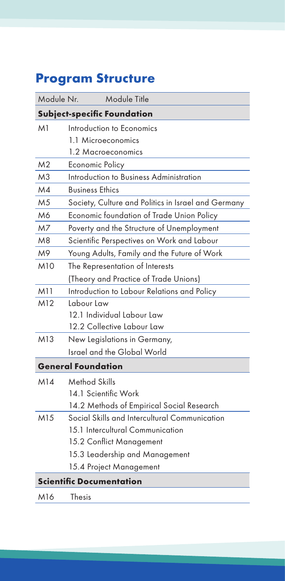# **Program Structure**

| Module Nr.                         | Module Title                                        |
|------------------------------------|-----------------------------------------------------|
| <b>Subject-specific Foundation</b> |                                                     |
| M1                                 | Introduction to Economics                           |
|                                    | 1.1 Microeconomics                                  |
|                                    | 1.2 Macroeconomics                                  |
| M <sub>2</sub>                     | Economic Policy                                     |
| M <sub>3</sub>                     | Introduction to Business Administration             |
| M4                                 | <b>Business Ethics</b>                              |
| M <sub>5</sub>                     | Society, Culture and Politics in Israel and Germany |
| M6                                 | Economic foundation of Trade Union Policy           |
| M7                                 | Poverty and the Structure of Unemployment           |
| M8                                 | Scientific Perspectives on Work and Labour          |
| M9                                 | Young Adults, Family and the Future of Work         |
| M10                                | The Representation of Interests                     |
|                                    | (Theory and Practice of Trade Unions)               |
| M11                                | Introduction to Labour Relations and Policy         |
| M12                                | Labour Law                                          |
|                                    | 12.1 Individual Labour Law                          |
|                                    | 12.2 Collective Labour Law                          |
| M13                                | New Legislations in Germany,                        |
|                                    | Israel and the Global World                         |
|                                    | <b>General Foundation</b>                           |
| M14                                | Method Skills                                       |
|                                    | 14.1 Scientific Work                                |
|                                    | 14.2 Methods of Empirical Social Research           |
| M15                                | Social Skills and Intercultural Communication       |
|                                    | 15.1 Intercultural Communication                    |
|                                    | 15.2 Conflict Management                            |
|                                    | 15.3 Leadership and Management                      |
|                                    | 15.4 Project Management                             |
| <b>Scientific Documentation</b>    |                                                     |
| M16                                | Thesis                                              |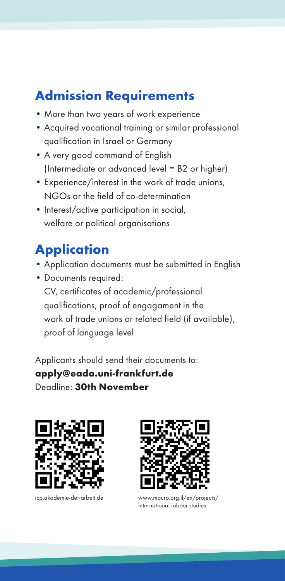### **Admission Requirements**

- More than two years of work experience
- Acquired vocational training or similar professional qualification in Israel or Germany
- A very good command of English (Intermediate or advanced level = B2 or higher)
- Experience/interest in the work of trade unions, NGOs or the field of co-determination
- Interest/active participation in social. welfare or political organisations

# **Application**

- Application documents must be submitted in English
- Documents required: CV, certificates of academic/professional qualifications, proof of engagament in the work of trade unions or related field (if available), proof of language level

Applicants should send their documents to: **apply@eada.uni-frankfurt.de** Deadline: **30th November**





icp.akademie-der-arbeit.de www.macro.org.il/en/projects/ international-labour-studies